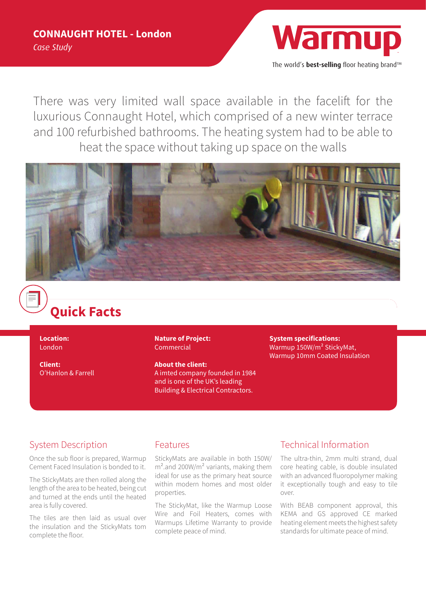

The world's **best-selling** floor heating brand™

There was very limited wall space available in the facelift for the luxurious Connaught Hotel, which comprised of a new winter terrace and 100 refurbished bathrooms. The heating system had to be able to heat the space without taking up space on the walls



# **Quick Facts**

**Location:**  London

**Client:**  O'Hanlon & Farrell **Nature of Project:**  Commercial

**About the client:** A imted company founded in 1984 and is one of the UK's leading Building & Electrical Contractors.

**System specifications:** Warmup 150W/m² StickyMat, Warmup 10mm Coated Insulation

### System Description

Once the sub floor is prepared, Warmup Cement Faced Insulation is bonded to it.

The StickyMats are then rolled along the length of the area to be heated, being cut and turned at the ends until the heated area is fully covered.

The tiles are then laid as usual over the insulation and the StickyMats tom complete the floor.

#### Features

StickyMats are available in both 150W/ m².and 200W/m² variants, making them ideal for use as the primary heat source within modern homes and most older properties.

The StickyMat, like the Warmup Loose Wire and Foil Heaters, comes with Warmups Lifetime Warranty to provide complete peace of mind.

## Technical Information

The ultra-thin, 2mm multi strand, dual core heating cable, is double insulated with an advanced fluoropolymer making it exceptionally tough and easy to tile over.

With BEAB component approval, this KEMA and GS approved CE marked heating element meets the highest safety standards for ultimate peace of mind.